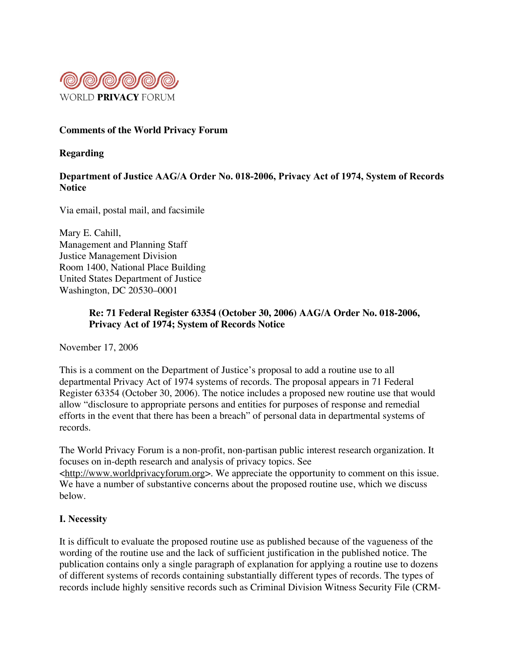

### **Comments of the World Privacy Forum**

#### **Regarding**

## Department of Justice AAG/A Order No. 018-2006, Privacy Act of 1974, System of Records **Notice**

Via email, postal mail, and facsimile

Mary E. Cahill, Management and Planning Staff Justice Management Division Room 1400, National Place Building United States Department of Justice Washington, DC 20530–0001

# **Re: 71 Federal Register 63354 (October 30, 2006) AAG/A Order No. 018-2006, Privacy Act of 1974; System of Records Notice**

November 17, 2006

This is a comment on the Department of Justice's proposal to add a routine use to all departmental Privacy Act of 1974 systems of records. The proposal appears in 71 Federal Register 63354 (October 30, 2006). The notice includes a proposed new routine use that would allow "disclosure to appropriate persons and entities for purposes of response and remedial efforts in the event that there has been a breach" of personal data in departmental systems of records.

The World Privacy Forum is a non-profit, non-partisan public interest research organization. It focuses on in-depth research and analysis of privacy topics. See <http://www.worldprivacyforum.org>. We appreciate the opportunity to comment on this issue. We have a number of substantive concerns about the proposed routine use, which we discuss below.

#### I. Necessity

It is difficult to evaluate the proposed routine use as published because of the vagueness of the wording of the routine use and the lack of sufficient justification in the published notice. The publication contains only a single paragraph of explanation for applying a routine use to dozens of different systems of records containing substantially different types of records. The types of records include highly sensitive records such as Criminal Division Witness Security File (CRM-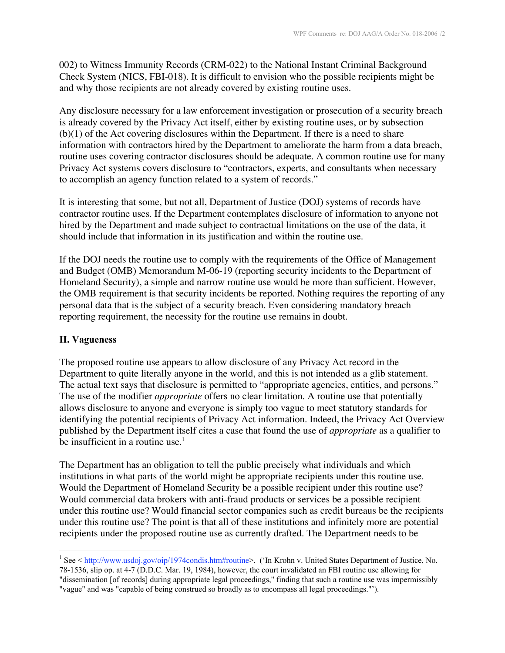002) to Witness Immunity Records (CRM-022) to the National Instant Criminal Background Check System (NICS, FBI-018). It is difficult to envision who the possible recipients might be and why those recipients are not already covered by existing routine uses.

Any disclosure necessary for a law enforcement investigation or prosecution of a security breach is already covered by the Privacy Act itself, either by existing routine uses, or by subsection (b)(1) of the Act covering disclosures within the Department. If there is a need to share information with contractors hired by the Department to ameliorate the harm from a data breach, routine uses covering contractor disclosures should be adequate. A common routine use for many Privacy Act systems covers disclosure to "contractors, experts, and consultants when necessary to accomplish an agency function related to a system of records."

It is interesting that some, but not all, Department of Justice (DOJ) systems of records have contractor routine uses. If the Department contemplates disclosure of information to anyone not hired by the Department and made subject to contractual limitations on the use of the data, it should include that information in its justification and within the routine use.

If the DOJ needs the routine use to comply with the requirements of the Office of Management and Budget (OMB) Memorandum M-06-19 (reporting security incidents to the Department of Homeland Security), a simple and narrow routine use would be more than sufficient. However, the OMB requirement is that security incidents be reported. Nothing requires the reporting of any personal data that is the subject of a security breach. Even considering mandatory breach reporting requirement, the necessity for the routine use remains in doubt.

#### II. Vagueness

The proposed routine use appears to allow disclosure of any Privacy Act record in the Department to quite literally anyone in the world, and this is not intended as a glib statement. The actual text says that disclosure is permitted to "appropriate agencies, entities, and persons." The use of the modifier *appropriate* offers no clear limitation. A routine use that potentially allows disclosure to anyone and everyone is simply too vague to meet statutory standards for identifying the potential recipients of Privacy Act information. Indeed, the Privacy Act Overview published by the Department itself cites a case that found the use of *appropriate* as a qualifier to be insufficient in a routine use. $1$ 

The Department has an obligation to tell the public precisely what individuals and which institutions in what parts of the world might be appropriate recipients under this routine use. Would the Department of Homeland Security be a possible recipient under this routine use? Would commercial data brokers with anti-fraud products or services be a possible recipient under this routine use? Would financial sector companies such as credit bureaus be the recipients under this routine use? The point is that all of these institutions and infinitely more are potential recipients under the proposed routine use as currently drafted. The Department needs to be

78-1536, slip op. at 4-7 (D.D.C. Mar. 19, 1984), however, the court invalidated an FBI routine use allowing for "dissemination [of records] during appropriate legal proceedings," finding that such a routine use was impermissibly "vague" and was "capable of being construed so broadly as to encompass all legal proceedings."').

 $\frac{1}{1}$ <sup>1</sup> See < http://www.usdoj.gov/oip/1974condis.htm#routine>. ('In <u>Krohn v. United States Department of Justice</u>, No.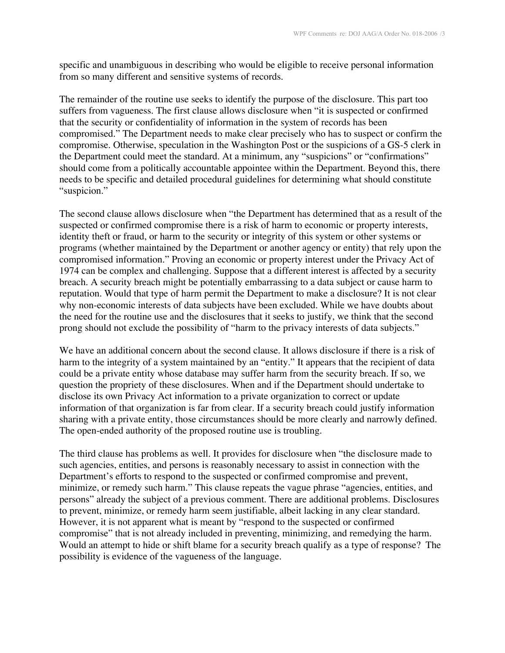specific and unambiguous in describing who would be eligible to receive personal information from so many different and sensitive systems of records.

The remainder of the routine use seeks to identify the purpose of the disclosure. This part too suffers from vagueness. The first clause allows disclosure when "it is suspected or confirmed that the security or confidentiality of information in the system of records has been compromised." The Department needs to make clear precisely who has to suspect or confirm the compromise. Otherwise, speculation in the Washington Post or the suspicions of a GS-5 clerk in the Department could meet the standard. At a minimum, any "suspicions" or "confirmations" should come from a politically accountable appointee within the Department. Beyond this, there needs to be specific and detailed procedural guidelines for determining what should constitute "suspicion."

The second clause allows disclosure when "the Department has determined that as a result of the suspected or confirmed compromise there is a risk of harm to economic or property interests, identity theft or fraud, or harm to the security or integrity of this system or other systems or programs (whether maintained by the Department or another agency or entity) that rely upon the compromised information." Proving an economic or property interest under the Privacy Act of 1974 can be complex and challenging. Suppose that a different interest is affected by a security breach. A security breach might be potentially embarrassing to a data subject or cause harm to reputation. Would that type of harm permit the Department to make a disclosure? It is not clear why non-economic interests of data subjects have been excluded. While we have doubts about the need for the routine use and the disclosures that it seeks to justify, we think that the second prong should not exclude the possibility of "harm to the privacy interests of data subjects."

We have an additional concern about the second clause. It allows disclosure if there is a risk of harm to the integrity of a system maintained by an "entity." It appears that the recipient of data could be a private entity whose database may suffer harm from the security breach. If so, we question the propriety of these disclosures. When and if the Department should undertake to disclose its own Privacy Act information to a private organization to correct or update information of that organization is far from clear. If a security breach could justify information sharing with a private entity, those circumstances should be more clearly and narrowly defined. The open-ended authority of the proposed routine use is troubling.

The third clause has problems as well. It provides for disclosure when "the disclosure made to such agencies, entities, and persons is reasonably necessary to assist in connection with the Department's efforts to respond to the suspected or confirmed compromise and prevent, minimize, or remedy such harm." This clause repeats the vague phrase "agencies, entities, and persons" already the subject of a previous comment. There are additional problems. Disclosures to prevent, minimize, or remedy harm seem justifiable, albeit lacking in any clear standard. However, it is not apparent what is meant by "respond to the suspected or confirmed compromise" that is not already included in preventing, minimizing, and remedying the harm. Would an attempt to hide or shift blame for a security breach qualify as a type of response? The possibility is evidence of the vagueness of the language.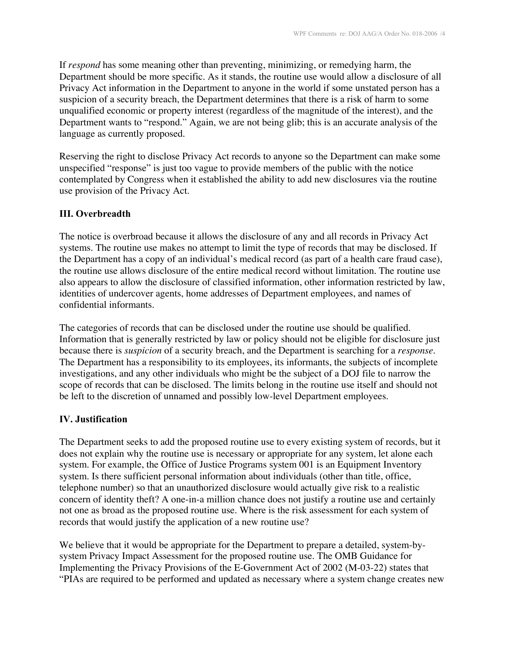If *respond* has some meaning other than preventing, minimizing, or remedying harm, the Department should be more specific. As it stands, the routine use would allow a disclosure of all Privacy Act information in the Department to anyone in the world if some unstated person has a suspicion of a security breach, the Department determines that there is a risk of harm to some unqualified economic or property interest (regardless of the magnitude of the interest), and the Department wants to "respond." Again, we are not being glib; this is an accurate analysis of the language as currently proposed.

Reserving the right to disclose Privacy Act records to anyone so the Department can make some unspecified "response" is just too vague to provide members of the public with the notice contemplated by Congress when it established the ability to add new disclosures via the routine use provision of the Privacy Act.

# III. Overbreadth

The notice is overbroad because it allows the disclosure of any and all records in Privacy Act systems. The routine use makes no attempt to limit the type of records that may be disclosed. If the Department has a copy of an individual's medical record (as part of a health care fraud case), the routine use allows disclosure of the entire medical record without limitation. The routine use also appears to allow the disclosure of classified information, other information restricted by law, identities of undercover agents, home addresses of Department employees, and names of confidential informants.

The categories of records that can be disclosed under the routine use should be qualified. Information that is generally restricted by law or policy should not be eligible for disclosure just because there is *suspicion* of a security breach, and the Department is searching for a *response*. The Department has a responsibility to its employees, its informants, the subjects of incomplete investigations, and any other individuals who might be the subject of a DOJ file to narrow the scope of records that can be disclosed. The limits belong in the routine use itself and should not be left to the discretion of unnamed and possibly low-level Department employees.

# IV. Justification

The Department seeks to add the proposed routine use to every existing system of records, but it does not explain why the routine use is necessary or appropriate for any system, let alone each system. For example, the Office of Justice Programs system 001 is an Equipment Inventory system. Is there sufficient personal information about individuals (other than title, office, telephone number) so that an unauthorized disclosure would actually give risk to a realistic concern of identity theft? A one-in-a million chance does not justify a routine use and certainly not one as broad as the proposed routine use. Where is the risk assessment for each system of records that would justify the application of a new routine use?

We believe that it would be appropriate for the Department to prepare a detailed, system-bysystem Privacy Impact Assessment for the proposed routine use. The OMB Guidance for Implementing the Privacy Provisions of the E-Government Act of 2002 (M-03-22) states that "PIAs are required to be performed and updated as necessary where a system change creates new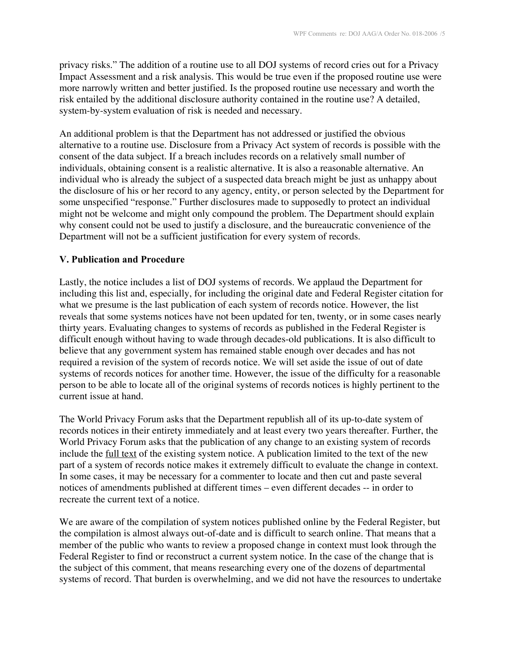privacy risks." The addition of a routine use to all DOJ systems of record cries out for a Privacy Impact Assessment and a risk analysis. This would be true even if the proposed routine use were more narrowly written and better justified. Is the proposed routine use necessary and worth the risk entailed by the additional disclosure authority contained in the routine use? A detailed, system-by-system evaluation of risk is needed and necessary.

An additional problem is that the Department has not addressed or justified the obvious alternative to a routine use. Disclosure from a Privacy Act system of records is possible with the consent of the data subject. If a breach includes records on a relatively small number of individuals, obtaining consent is a realistic alternative. It is also a reasonable alternative. An individual who is already the subject of a suspected data breach might be just as unhappy about the disclosure of his or her record to any agency, entity, or person selected by the Department for some unspecified "response." Further disclosures made to supposedly to protect an individual might not be welcome and might only compound the problem. The Department should explain why consent could not be used to justify a disclosure, and the bureaucratic convenience of the Department will not be a sufficient justification for every system of records.

### V. Publication and Procedure

Lastly, the notice includes a list of DOJ systems of records. We applaud the Department for including this list and, especially, for including the original date and Federal Register citation for what we presume is the last publication of each system of records notice. However, the list reveals that some systems notices have not been updated for ten, twenty, or in some cases nearly thirty years. Evaluating changes to systems of records as published in the Federal Register is difficult enough without having to wade through decades-old publications. It is also difficult to believe that any government system has remained stable enough over decades and has not required a revision of the system of records notice. We will set aside the issue of out of date systems of records notices for another time. However, the issue of the difficulty for a reasonable person to be able to locate all of the original systems of records notices is highly pertinent to the current issue at hand.

The World Privacy Forum asks that the Department republish all of its up-to-date system of records notices in their entirety immediately and at least every two years thereafter. Further, the World Privacy Forum asks that the publication of any change to an existing system of records include the full text of the existing system notice. A publication limited to the text of the new part of a system of records notice makes it extremely difficult to evaluate the change in context. In some cases, it may be necessary for a commenter to locate and then cut and paste several notices of amendments published at different times – even different decades -- in order to recreate the current text of a notice.

We are aware of the compilation of system notices published online by the Federal Register, but the compilation is almost always out-of-date and is difficult to search online. That means that a member of the public who wants to review a proposed change in context must look through the Federal Register to find or reconstruct a current system notice. In the case of the change that is the subject of this comment, that means researching every one of the dozens of departmental systems of record. That burden is overwhelming, and we did not have the resources to undertake